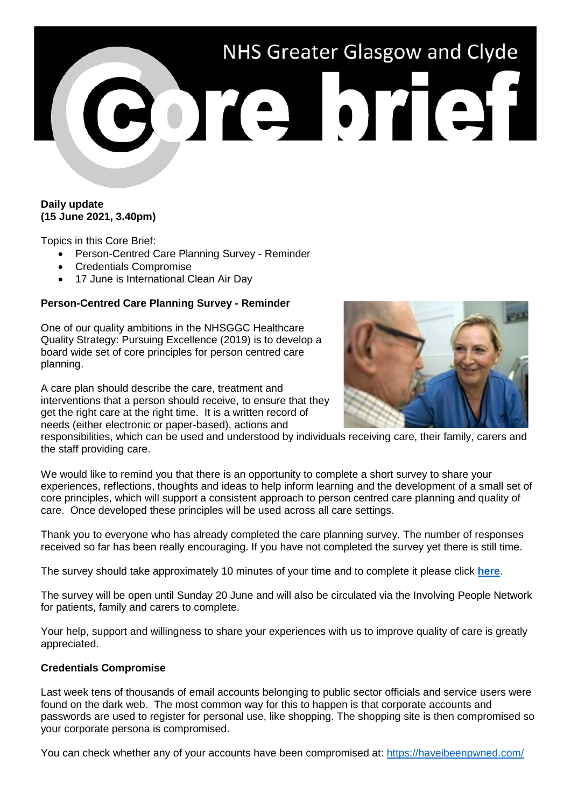# NHS Greater Glasgow and Clyde Porte brief

### **Daily update (15 June 2021, 3.40pm)**

Topics in this Core Brief:

- Person-Centred Care Planning Survey Reminder
- Credentials Compromise
- 17 June is International Clean Air Day

# **Person-Centred Care Planning Survey - Reminder**

One of our quality ambitions in the NHSGGC Healthcare Quality Strategy: Pursuing Excellence (2019) is to develop a board wide set of core principles for person centred care planning.

A care plan should describe the care, treatment and interventions that a person should receive, to ensure that they get the right care at the right time. It is a written record of needs (either electronic or paper-based), actions and



responsibilities, which can be used and understood by individuals receiving care, their family, carers and the staff providing care.

We would like to remind you that there is an opportunity to complete a short survey to share your experiences, reflections, thoughts and ideas to help inform learning and the development of a small set of core principles, which will support a consistent approach to person centred care planning and quality of care. Once developed these principles will be used across all care settings.

Thank you to everyone who has already completed the care planning survey. The number of responses received so far has been really encouraging. If you have not completed the survey yet there is still time.

The survey should take approximately 10 minutes of your time and to complete it please click **[here](https://forms.office.com/Pages/ResponsePage.aspx?id=veDvEDCgykuAnLXmdF5Jmi-yaMCS_MJIoZBqE46z4XVUMks3RFFEWk1TOFBEME9TUDRGOTZGVllQTSQlQCN0PWcu)**.

The survey will be open until Sunday 20 June and will also be circulated via the Involving People Network for patients, family and carers to complete.

Your help, support and willingness to share your experiences with us to improve quality of care is greatly appreciated.

### **Credentials Compromise**

Last week tens of thousands of email accounts belonging to public sector officials and service users were found on the dark web. The most common way for this to happen is that corporate accounts and passwords are used to register for personal use, like shopping. The shopping site is then compromised so your corporate persona is compromised.

You can check whether any of your accounts have been compromised at:<https://haveibeenpwned.com/>